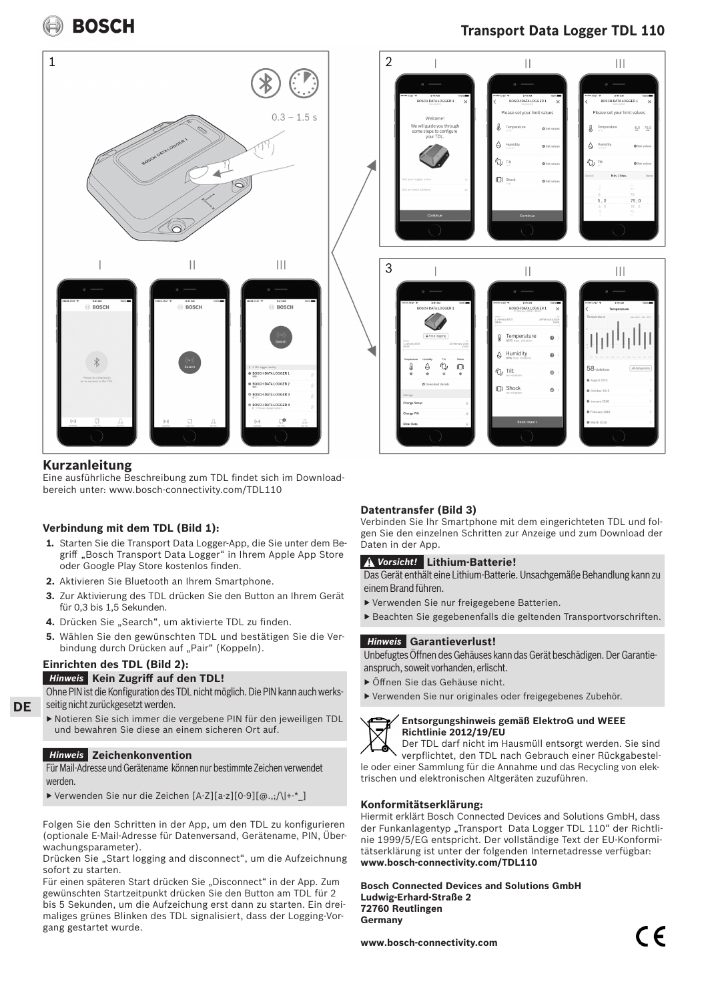**BOSCH** 



## **Kurzanleitung**

Eine ausführliche Beschreibung zum TDL findet sich im Downloadbereich unter: www.bosch-connectivity.com/TDL110

## **Verbindung mit dem TDL (Bild 1):**

- **1.** Starten Sie die Transport Data Logger-App, die Sie unter dem Begriff "Bosch Transport Data Logger" in Ihrem Apple App Store oder Google Play Store kostenlos finden.
- **2.** Aktivieren Sie Bluetooth an Ihrem Smartphone.
- **3.** Zur Aktivierung des TDL drücken Sie den Button an Ihrem Gerät für 0,3 bis 1,5 Sekunden.
- 4. Drücken Sie "Search", um aktivierte TDL zu finden.
- **5.** Wählen Sie den gewünschten TDL und bestätigen Sie die Verbindung durch Drücken auf "Pair" (Koppeln).

## **Einrichten des TDL (Bild 2):**

**DE**

## **Kein Zugriff auf den TDL!** *Hinweis*

Ohne PIN ist die Konfiguration des TDL nicht möglich. Die PIN kann auch werksseitig nicht zurückgesetzt werden.

▶ Notieren Sie sich immer die vergebene PIN für den jeweiligen TDL und bewahren Sie diese an einem sicheren Ort auf.

## **Zeichenkonvention** *Hinweis*

Für Mail-Adresse und Gerätename können nur bestimmte Zeichen verwendet werden.

▶ Verwenden Sie nur die Zeichen [A-Z][a-z][0-9][@.,;/\|+-\*\_]

Folgen Sie den Schritten in der App, um den TDL zu konfigurieren (optionale E-Mail-Adresse für Datenversand, Gerätename, PIN, Überwachungsparameter).

Drücken Sie "Start logging and disconnect", um die Aufzeichnung sofort zu starten.

Für einen späteren Start drücken Sie "Disconnect" in der App. Zum gewünschten Startzeitpunkt drücken Sie den Button am TDL für 2 bis 5 Sekunden, um die Aufzeichung erst dann zu starten. Ein dreimaliges grünes Blinken des TDL signalisiert, dass der Logging-Vorgang gestartet wurde.

## **Transport Data Logger TDL 110**



## **Datentransfer (Bild 3)**

Verbinden Sie Ihr Smartphone mit dem eingerichteten TDL und folgen Sie den einzelnen Schritten zur Anzeige und zum Download der Daten in der App.

## **Lithium-Batterie!** *Vorsicht!*

Das Gerät enthält eine Lithium-Batterie. Unsachgemäße Behandlung kann zu einem Brand führen.

- ▶ Verwenden Sie nur freigegebene Batterien.
- ▶ Beachten Sie gegebenenfalls die geltenden Transportvorschriften.

## **Garantieverlust!** *Hinweis*

Unbefugtes Öffnen des Gehäuses kann das Gerät beschädigen. Der Garantieanspruch, soweit vorhanden, erlischt.

- ▶ Öffnen Sie das Gehäuse nicht.
- ▶ Verwenden Sie nur originales oder freigegebenes Zubehör.



## **Entsorgungshinweis gemäß ElektroG und WEEE Richtlinie 2012/19/EU**

 Der TDL darf nicht im Hausmüll entsorgt werden. Sie sind verpflichtet, den TDL nach Gebrauch einer Rückgabestelle oder einer Sammlung für die Annahme und das Recycling von elektrischen und elektronischen Altgeräten zuzuführen.

## **Konformitätserklärung:**

Hiermit erklärt Bosch Connected Devices and Solutions GmbH, dass der Funkanlagentyp "Transport Data Logger TDL 110" der Richtlinie 1999/5/EG entspricht. Der vollständige Text der EU-Konformitätserklärung ist unter der folgenden Internetadresse verfügbar: **www.bosch-connectivity.com/TDL110**

**Bosch Connected Devices and Solutions GmbH Ludwig-Erhard-Straße 2 72760 Reutlingen Germany**

**www.bosch-connectivity.com**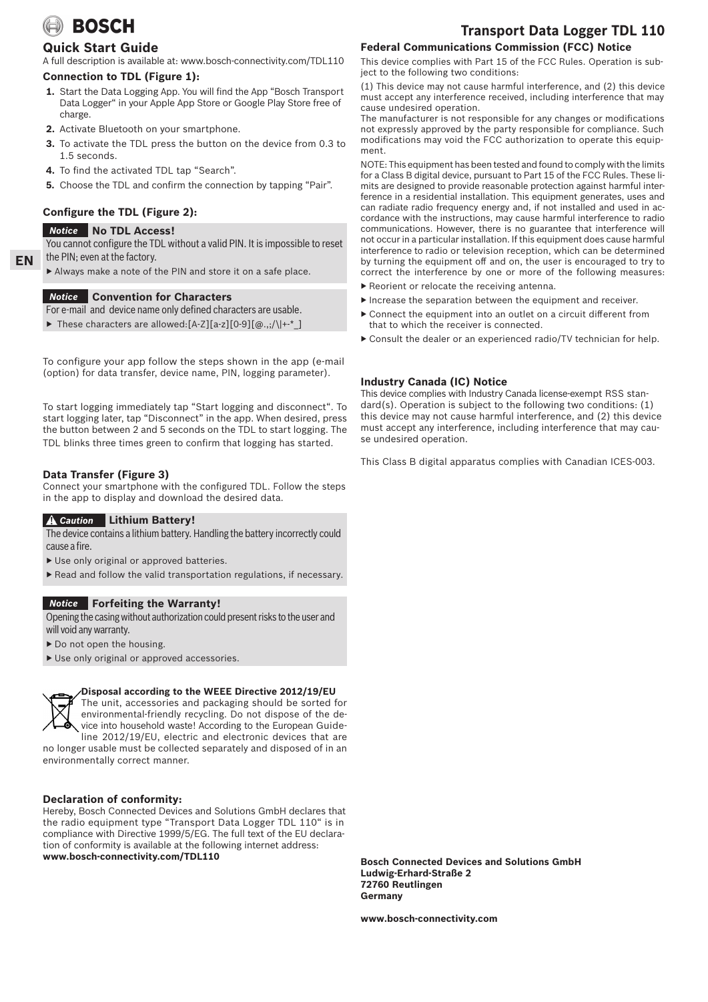# **BOSCH**

## **Quick Start Guide**

A full description is available at: www.bosch-connectivity.com/TDL110

## **Connection to TDL (Figure 1):**

- **1.** Start the Data Logging App. You will find the App "Bosch Transport Data Logger" in your Apple App Store or Google Play Store free of charge.
- **2.** Activate Bluetooth on your smartphone.
- **3.** To activate the TDL press the button on the device from 0.3 to 1.5 seconds.
- **4.** To find the activated TDL tap "Search".
- **5.** Choose the TDL and confirm the connection by tapping "Pair".

## **Configure the TDL (Figure 2):**

## **No TDL Access!** *Notice*

You cannot configure the TDL without a valid PIN. It is impossible to reset the PIN; even at the factory.

▶ Always make a note of the PIN and store it on a safe place.

## **Convention for Characters** *Notice*

For e-mail and device name only defined characters are usable.

▶ These characters are allowed:[A-Z][a-z][0-9][@.,;/\|+-\*\_]

To configure your app follow the steps shown in the app (e-mail (option) for data transfer, device name, PIN, logging parameter).

To start logging immediately tap "Start logging and disconnect". To start logging later, tap "Disconnect" in the app. When desired, press the button between 2 and 5 seconds on the TDL to start logging. The TDL blinks three times green to confirm that logging has started.

## **Data Transfer (Figure 3)**

Connect your smartphone with the configured TDL. Follow the steps in the app to display and download the desired data.

## **Lithium Battery!** *Caution*

The device contains a lithium battery. Handling the battery incorrectly could cause a fire.

- ▶ Use only original or approved batteries.
- ▶ Read and follow the valid transportation regulations, if necessary.

## **Forfeiting the Warranty!** *Notice*

Opening the casing without authorization could present risks to the user and will void any warranty.

- ▶ Do not open the housing.
- ▶ Use only original or approved accessories.



## **Disposal according to the WEEE Directive 2012/19/EU**

The unit, accessories and packaging should be sorted for environmental-friendly recycling. Do not dispose of the device into household waste! According to the European Guideline 2012/19/EU, electric and electronic devices that are

no longer usable must be collected separately and disposed of in an environmentally correct manner.

## **Declaration of conformity:**

Hereby, Bosch Connected Devices and Solutions GmbH declares that the radio equipment type "Transport Data Logger TDL 110" is in compliance with Directive 1999/5/EG. The full text of the EU declaration of conformity is available at the following internet address: **www.bosch-connectivity.com/TDL110**

## **Transport Data Logger TDL 110 Federal Communications Commission (FCC) Notice**

This device complies with Part 15 of the FCC Rules. Operation is subject to the following two conditions:

(1) This device may not cause harmful interference, and (2) this device must accept any interference received, including interference that may cause undesired operation.

The manufacturer is not responsible for any changes or modifications not expressly approved by the party responsible for compliance. Such modifications may void the FCC authorization to operate this equipment.

NOTE: This equipment has been tested and found to comply with the limits for a Class B digital device, pursuant to Part 15 of the FCC Rules. These limits are designed to provide reasonable protection against harmful interference in a residential installation. This equipment generates, uses and can radiate radio frequency energy and, if not installed and used in accordance with the instructions, may cause harmful interference to radio communications. However, there is no guarantee that interference will not occur in a particular installation. If this equipment does cause harmful interference to radio or television reception, which can be determined by turning the equipment off and on, the user is encouraged to try to correct the interference by one or more of the following measures:

- ▶ Reorient or relocate the receiving antenna.
- ▶ Increase the separation between the equipment and receiver.
- ▶ Connect the equipment into an outlet on a circuit different from that to which the receiver is connected.
- ▶ Consult the dealer or an experienced radio/TV technician for help.

## **Industry Canada (IC) Notice**

This device complies with Industry Canada license-exempt RSS standard(s). Operation is subject to the following two conditions: (1) this device may not cause harmful interference, and (2) this device must accept any interference, including interference that may cause undesired operation.

This Class B digital apparatus complies with Canadian ICES-003.

**Bosch Connected Devices and Solutions GmbH Ludwig-Erhard-Straße 2 72760 Reutlingen Germany**

**www.bosch-connectivity.com**

**EN**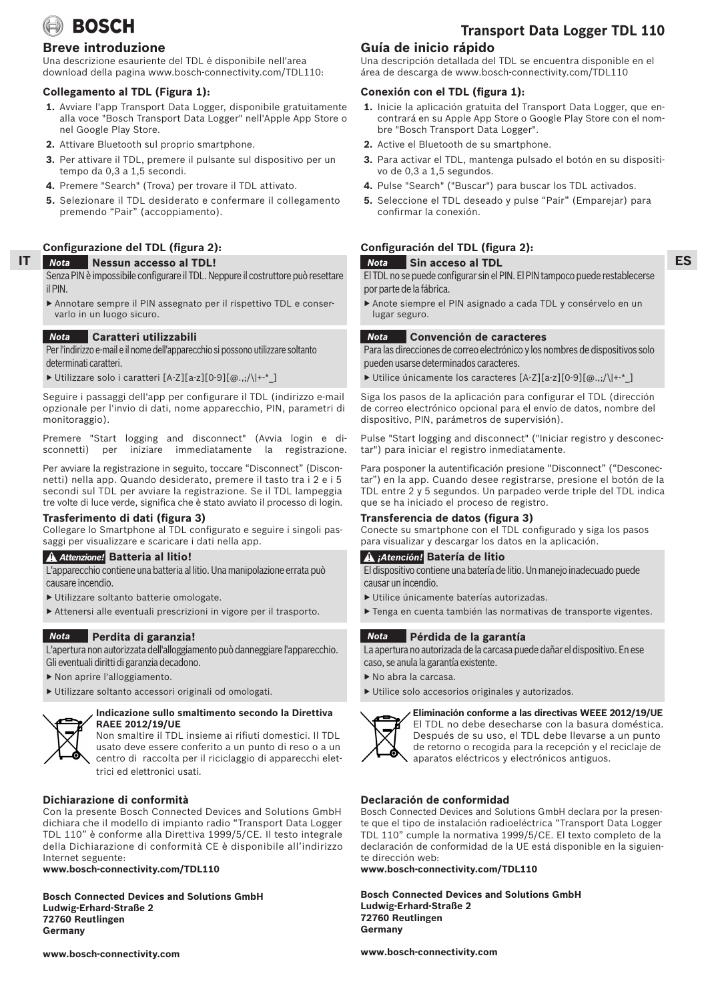

## **Breve introduzione**

Una descrizione esauriente del TDL è disponibile nell'area download della pagina www.bosch-connectivity.com/TDL110:

## **Collegamento al TDL (Figura 1):**

- **1.** Avviare l'app Transport Data Logger, disponibile gratuitamente alla voce "Bosch Transport Data Logger" nell'Apple App Store o nel Google Play Store.
- **2.** Attivare Bluetooth sul proprio smartphone.
- **3.** Per attivare il TDL, premere il pulsante sul dispositivo per un tempo da 0,3 a 1,5 secondi.
- **4.** Premere "Search" (Trova) per trovare il TDL attivato.
- **5.** Selezionare il TDL desiderato e confermare il collegamento premendo "Pair" (accoppiamento).

## **Configurazione del TDL (figura 2):**

#### **IT Nessun accesso al TDL!** *Nota*

- Senza PIN è impossibile configurare il TDL. Neppure il costruttore può resettare il PIN.
- ▶ Annotare sempre il PIN assegnato per il rispettivo TDL e conservarlo in un luogo sicuro.

#### **Caratteri utilizzabili** *Nota*

Per l'indirizzo e-mail e il nome dell'apparecchio si possono utilizzare soltanto determinati caratteri.

▶ Utilizzare solo i caratteri [A-Z][a-z][0-9][@.,;/\|+-\*\_]

Seguire i passaggi dell'app per configurare il TDL (indirizzo e-mail opzionale per l'invio di dati, nome apparecchio, PIN, parametri di monitoraggio).

Premere "Start logging and disconnect" (Avvia login e disconnetti) per iniziare immediatamente la registrazione.

Per avviare la registrazione in seguito, toccare "Disconnect" (Disconnetti) nella app. Quando desiderato, premere il tasto tra i 2 e i 5 secondi sul TDL per avviare la registrazione. Se il TDL lampeggia tre volte di luce verde, significa che è stato avviato il processo di login.

## **Trasferimento di dati (figura 3)**

Collegare lo Smartphone al TDL configurato e seguire i singoli passaggi per visualizzare e scaricare i dati nella app.

## **Batteria al litio!** *Attenzione!*

L'apparecchio contiene una batteria al litio. Una manipolazione errata può causare incendio.

- ▶ Utilizzare soltanto batterie omologate.
- ▶ Attenersi alle eventuali prescrizioni in vigore per il trasporto.

#### **Perdita di garanzia!** *Nota*

L'apertura non autorizzata dell'alloggiamento può danneggiare l'apparecchio. Gli eventuali diritti di garanzia decadono.

- ▶ Non aprire l'alloggiamento.
- ▶ Utilizzare soltanto accessori originali od omologati.



## **Indicazione sullo smaltimento secondo la Direttiva RAEE 2012/19/UE**

Non smaltire il TDL insieme ai rifiuti domestici. Il TDL usato deve essere conferito a un punto di reso o a un centro di raccolta per il riciclaggio di apparecchi elettrici ed elettronici usati.

## **Dichiarazione di conformità**

Con la presente Bosch Connected Devices and Solutions GmbH dichiara che il modello di impianto radio "Transport Data Logger TDL 110" è conforme alla Direttiva 1999/5/CE. Il testo integrale della Dichiarazione di conformità CE è disponibile all'indirizzo Internet seguente:

**www.bosch-connectivity.com/TDL110**

**Bosch Connected Devices and Solutions GmbH Ludwig-Erhard-Straße 2 72760 Reutlingen Germany**

**www.bosch-connectivity.com**

## **Transport Data Logger TDL 110**

**ES**

## **Guía de inicio rápido**

Una descripción detallada del TDL se encuentra disponible en el área de descarga de www.bosch-connectivity.com/TDL110

## **Conexión con el TDL (figura 1):**

- **1.** Inicie la aplicación gratuita del Transport Data Logger, que encontrará en su Apple App Store o Google Play Store con el nombre "Bosch Transport Data Logger".
- **2.** Active el Bluetooth de su smartphone.
- **3.** Para activar el TDL, mantenga pulsado el botón en su dispositivo de 0,3 a 1,5 segundos.
- **4.** Pulse "Search" ("Buscar") para buscar los TDL activados.
- **5.** Seleccione el TDL deseado y pulse "Pair" (Emparejar) para confirmar la conexión.

## **Configuración del TDL (figura 2):**

#### **Sin acceso al TDL** *Nota*

El TDL no se puede configurar sin el PIN. El PIN tampoco puede restablecerse por parte de la fábrica.

▶ Anote siempre el PIN asignado a cada TDL y consérvelo en un lugar seguro.

#### **Convención de caracteres** *Nota*

Para las direcciones de correo electrónico y los nombres de dispositivos solo pueden usarse determinados caracteres.

▶ Utilice únicamente los caracteres [A-Z][a-z][0-9][@.,;/\|+-\*\_]

Siga los pasos de la aplicación para configurar el TDL (dirección de correo electrónico opcional para el envío de datos, nombre del dispositivo, PIN, parámetros de supervisión).

Pulse "Start logging and disconnect" ("Iniciar registro y desconectar") para iniciar el registro inmediatamente.

Para posponer la autentificación presione "Disconnect" ("Desconectar") en la app. Cuando desee registrarse, presione el botón de la TDL entre 2 y 5 segundos. Un parpadeo verde triple del TDL indica que se ha iniciado el proceso de registro.

## **Transferencia de datos (figura 3)**

Conecte su smartphone con el TDL configurado y siga los pasos para visualizar y descargar los datos en la aplicación.

## **Batería de litio** *¡Atención!*

El dispositivo contiene una batería de litio. Un manejo inadecuado puede causar un incendio.

- ▶ Utilice únicamente baterías autorizadas.
- ▶ Tenga en cuenta también las normativas de transporte vigentes.

#### **Pérdida de la garantía** *Nota*

La apertura no autorizada de la carcasa puede dañar el dispositivo. En ese caso, se anula la garantía existente.

- ▶ No abra la carcasa.
- ▶ Utilice solo accesorios originales y autorizados.



 **Eliminación conforme a las directivas WEEE 2012/19/UE**  El TDL no debe desecharse con la basura doméstica. Después de su uso, el TDL debe llevarse a un punto de retorno o recogida para la recepción y el reciclaje de aparatos eléctricos y electrónicos antiguos.

## **Declaración de conformidad**

Bosch Connected Devices and Solutions GmbH declara por la presente que el tipo de instalación radioeléctrica "Transport Data Logger TDL 110" cumple la normativa 1999/5/CE. El texto completo de la declaración de conformidad de la UE está disponible en la siguiente dirección web:

**www.bosch-connectivity.com/TDL110**

**Bosch Connected Devices and Solutions GmbH Ludwig-Erhard-Straße 2 72760 Reutlingen Germany**

**www.bosch-connectivity.com**